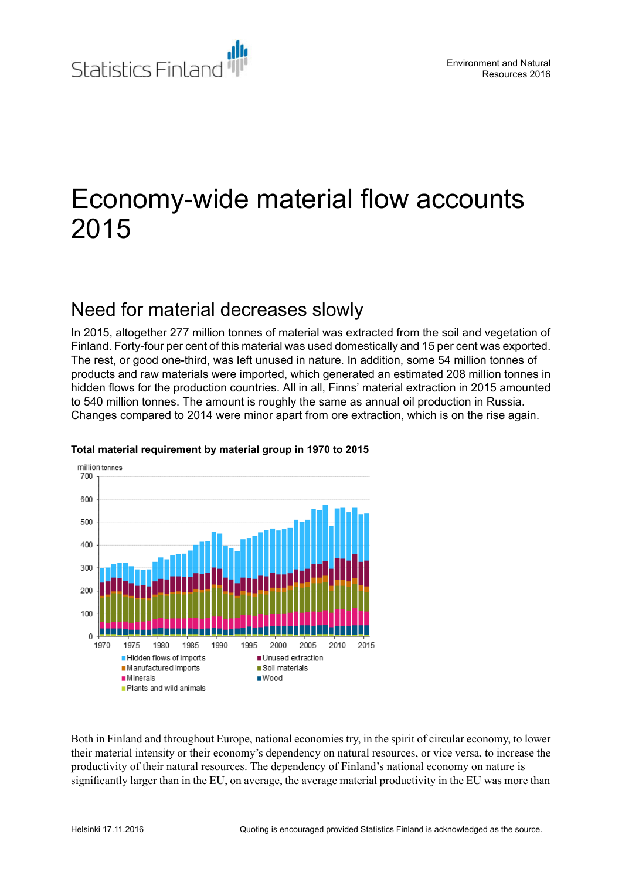

# Economy-wide material flow accounts 2015

# Need for material decreases slowly

In 2015, altogether 277 million tonnes of material was extracted from the soil and vegetation of Finland. Forty-four per cent of this material was used domestically and 15 per cent was exported. The rest, or good one-third, was left unused in nature. In addition, some 54 million tonnes of products and raw materials were imported, which generated an estimated 208 million tonnes in hidden flows for the production countries. All in all, Finns' material extraction in 2015 amounted to 540 million tonnes. The amount is roughly the same as annual oil production in Russia. Changes compared to 2014 were minor apart from ore extraction, which is on the rise again.



#### **Total material requirement by material group in 1970 to 2015**

Both in Finland and throughout Europe, national economies try, in the spirit of circular economy, to lower their material intensity or their economy's dependency on natural resources, or vice versa, to increase the productivity of their natural resources. The dependency of Finland's national economy on nature is significantly larger than in the EU, on average, the average material productivity in the EU was more than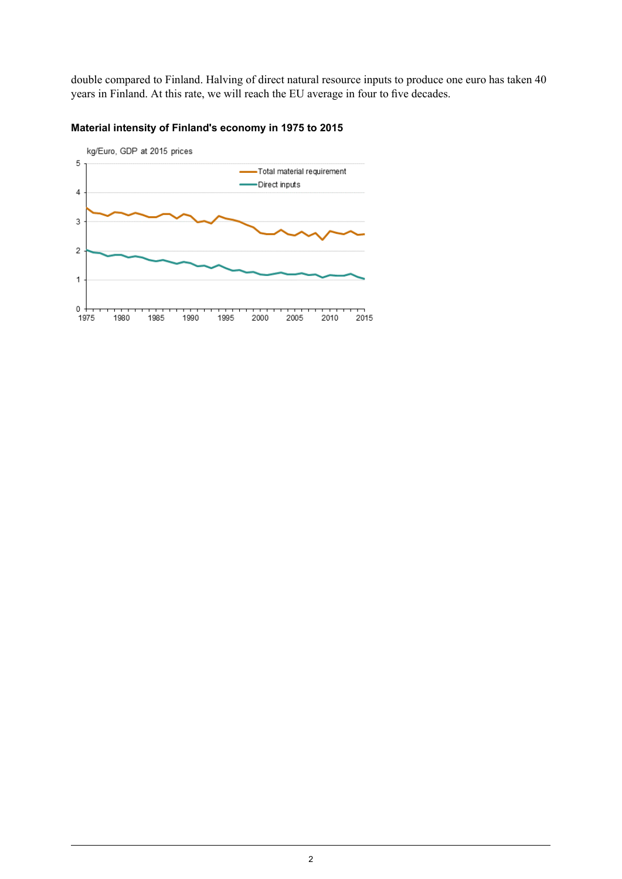double compared to Finland. Halving of direct natural resource inputs to produce one euro has taken 40 years in Finland. At this rate, we will reach the EU average in four to five decades.

![](_page_1_Figure_1.jpeg)

#### **Material intensity of Finland's economy in 1975 to 2015**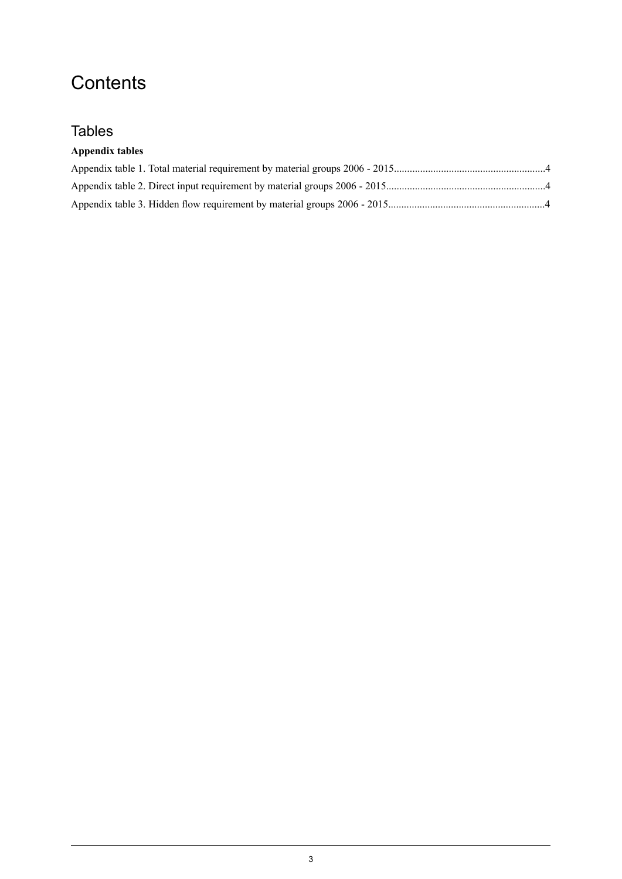# **Contents**

## **Tables**

### **Appendix tables**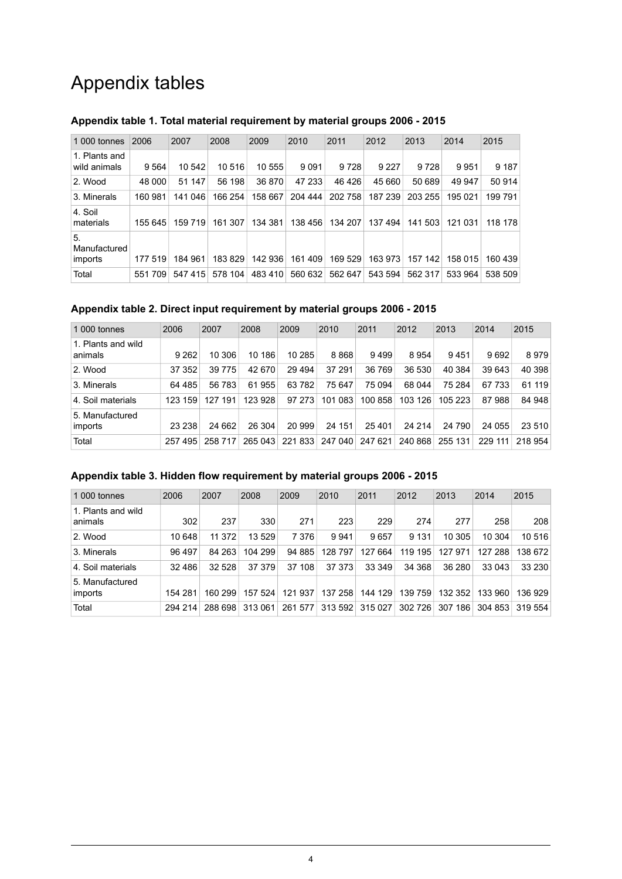# Appendix tables

| 1 000 tonnes                  | 2006    | 2007    | 2008    | 2009    | 2010    | 2011    | 2012    | 2013    | 2014    | 2015    |
|-------------------------------|---------|---------|---------|---------|---------|---------|---------|---------|---------|---------|
| 1. Plants and<br>wild animals | 9564    | 10 542  | 10 516  | 10 555  | 9091    | 9728    | 9 2 2 7 | 9 7 2 8 | 9951    | 9 187   |
| 2. Wood                       | 48 000  | 51 147  | 56 198  | 36 870  | 47 233  | 46 4 26 | 45 660  | 50 689  | 49 947  | 50 914  |
| 3. Minerals                   | 160 981 | 141 046 | 166 254 | 158 667 | 204 444 | 202 758 | 187 239 | 203 255 | 195 021 | 199 791 |
| 4. Soil<br>materials          | 155 645 | 159 719 | 161 307 | 134 381 | 138 456 | 134 207 | 137 494 | 141 503 | 121 031 | 118 178 |
| 5.<br>Manufactured<br>imports | 177 519 | 184 961 | 183829  | 142 936 | 161 409 | 169 529 | 163 973 | 157 142 | 158 015 | 160 439 |
| Total                         | 551709  | 547415  | 578 104 | 483 410 | 560 632 | 562 647 | 543 594 | 562 317 | 533 964 | 538 509 |

### <span id="page-3-0"></span>**Appendix table 1. Total material requirement by material groups 2006 - 2015**

#### <span id="page-3-1"></span>**Appendix table 2. Direct input requirement by material groups 2006 - 2015**

| 1 000 tonnes                  | 2006    | 2007     | 2008    | 2009    | 2010    | 2011    | 2012    | 2013    | 2014    | 2015    |
|-------------------------------|---------|----------|---------|---------|---------|---------|---------|---------|---------|---------|
| 1. Plants and wild<br>animals | 9 2 6 2 | 10 306   | 10 186  | 10 285  | 8868    | 9499    | 8954    | 9451    | 9692    | 8979    |
| 2. Wood                       | 37 352  | 39 7 7 5 | 42 670  | 29 4 94 | 37 291  | 36 769  | 36 530  | 40 384  | 39 643  | 40 398  |
| 3. Minerals                   | 64 485  | 56 783   | 61955   | 63782   | 75 647  | 75 094  | 68 044  | 75 284  | 67 733  | 61 119  |
| 4. Soil materials             | 123 159 | 127 191  | 123 928 | 97 273  | 101 083 | 100 858 | 103 126 | 105 223 | 87988   | 84 948  |
| 5. Manufactured<br>imports    | 23 238  | 24 662   | 26 304  | 20 999  | 24 151  | 25 401  | 24 214  | 24 790  | 24 055  | 23 510  |
| Total                         | 257 495 | 258 717  | 265 043 | 221833  | 247 040 | 247 621 | 240 868 | 255 131 | 229 111 | 218 954 |

#### <span id="page-3-2"></span>**Appendix table 3. Hidden flow requirement by material groups 2006 - 2015**

| 1 000 tonnes                  | 2006     | 2007    | 2008    | 2009    | 2010    | 2011       | 2012    | 2013    | 2014    | 2015    |
|-------------------------------|----------|---------|---------|---------|---------|------------|---------|---------|---------|---------|
| 1. Plants and wild<br>animals | 302      | 237     | 330     | 271     | 223     | 229        | 274     | 277     | 258     | 208     |
| 2. Wood                       | 10 648   | 11 372  | 13529   | 7 3 7 6 | 9941    | 9657       | 9 1 3 1 | 10 305  | 10 304  | 10516   |
| 3. Minerals                   | 96 497   | 84 263  | 104 299 | 94 885  | 128 797 | 664<br>127 | 119 195 | 127 971 | 127 288 | 138 672 |
| 4. Soil materials             | 32 4 8 6 | 32 528  | 37 379  | 37 108  | 37 373  | 33 349     | 34 368  | 36 280  | 33 043  | 33 230  |
| 5. Manufactured<br>imports    | 154 281  | 160 299 | 157 524 | 121 937 | 137 258 | 144 129    | 139 759 | 132 352 | 133 960 | 136 929 |
| Total                         | 294 214  | 288 698 | 313061  | 261 577 | 313 592 | 315 027    | 302 726 | 307 186 | 304 853 | 319 554 |